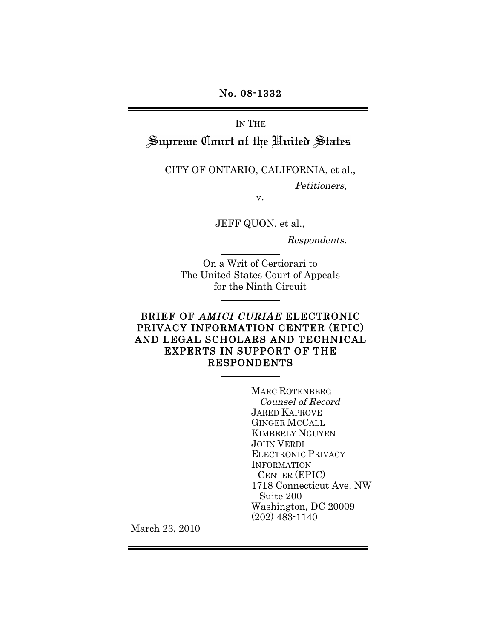No. 08-1332

IN THE Supreme Court of the United States

CITY OF ONTARIO, CALIFORNIA, et al.,

Petitioners,

v.

JEFF QUON, et al.,

Respondents.

On a Writ of Certiorari to The United States Court of Appeals for the Ninth Circuit

### BRIEF OF AMICI CURIAE ELECTRONIC PRIVACY INFORMATION CENTER (EPIC) AND LEGAL SCHOLARS AND TECHNICAL EXPERTS IN SUPPORT OF THE RESPONDENTS

MARC ROTENBERG Counsel of Record JARED KAPROVE GINGER MCCALL KIMBERLY NGUYEN JOHN VERDI ELECTRONIC PRIVACY INFORMATION CENTER (EPIC) 1718 Connecticut Ave. NW Suite 200 Washington, DC 20009 (202) 483-1140

March 23, 2010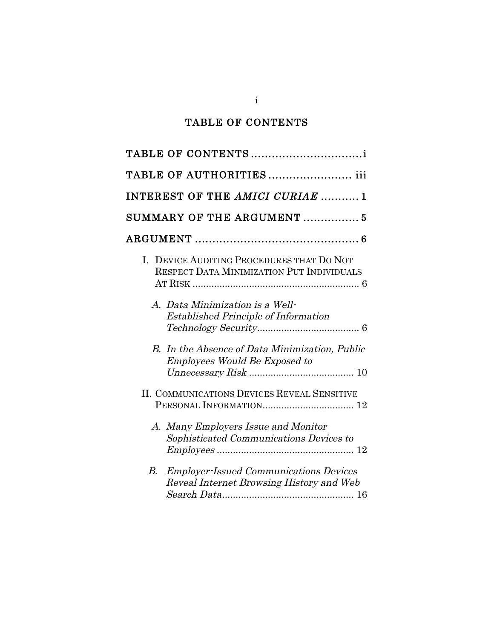## TABLE OF CONTENTS

| TABLE OF CONTENTS                                                                               |
|-------------------------------------------------------------------------------------------------|
| TABLE OF AUTHORITIES iii                                                                        |
| INTEREST OF THE AMICI CURIAE 1                                                                  |
| SUMMARY OF THE ARGUMENT  5                                                                      |
|                                                                                                 |
| I. DEVICE AUDITING PROCEDURES THAT DO NOT<br>RESPECT DATA MINIMIZATION PUT INDIVIDUALS          |
| A. Data Minimization is a Well-<br><b>Established Principle of Information</b>                  |
| B. In the Absence of Data Minimization, Public<br><b>Employees Would Be Exposed to</b>          |
| II. COMMUNICATIONS DEVICES REVEAL SENSITIVE                                                     |
| A. Many Employers Issue and Monitor<br>Sophisticated Communications Devices to                  |
| <b>Employer-Issued Communications Devices</b><br>В.<br>Reveal Internet Browsing History and Web |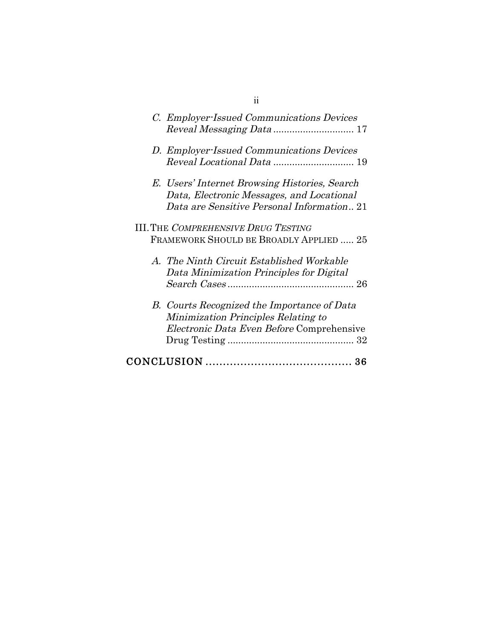| C. Employer-Issued Communications Devices                                                                                                |
|------------------------------------------------------------------------------------------------------------------------------------------|
| D. Employer-Issued Communications Devices                                                                                                |
| E. Users' Internet Browsing Histories, Search<br>Data, Electronic Messages, and Locational<br>Data are Sensitive Personal Information 21 |
| <b>III. THE COMPREHENSIVE DRUG TESTING</b><br>FRAMEWORK SHOULD BE BROADLY APPLIED  25                                                    |
| A. The Ninth Circuit Established Workable<br>Data Minimization Principles for Digital                                                    |
| B. Courts Recognized the Importance of Data<br>Minimization Principles Relating to<br>Electronic Data Even Before Comprehensive          |
|                                                                                                                                          |

ii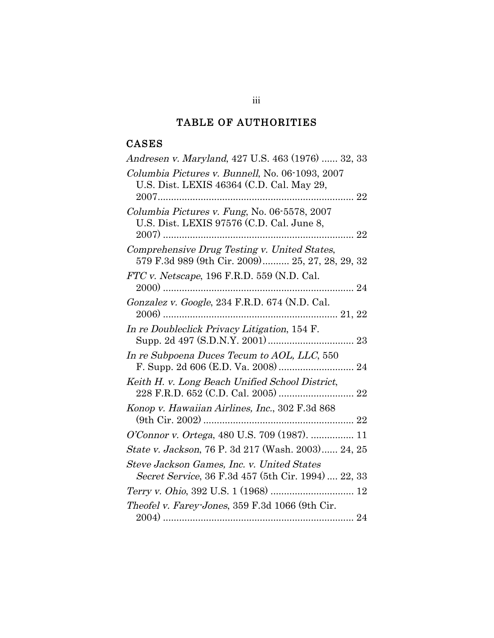## TABLE OF AUTHORITIES

## CASES

| Andresen v. Maryland, 427 U.S. 463 (1976)  32, 33                                                 |
|---------------------------------------------------------------------------------------------------|
| Columbia Pictures v. Bunnell, No. 06-1093, 2007<br>U.S. Dist. LEXIS 46364 (C.D. Cal. May 29,      |
|                                                                                                   |
| Columbia Pictures v. Fung, No. 06-5578, 2007<br>U.S. Dist. LEXIS 97576 (C.D. Cal. June 8,         |
| Comprehensive Drug Testing v. United States,<br>579 F.3d 989 (9th Cir. 2009) 25, 27, 28, 29, 32   |
| FTC v. Netscape, 196 F.R.D. 559 (N.D. Cal.                                                        |
| Gonzalez v. Google, 234 F.R.D. 674 (N.D. Cal.<br>$2006)$                                          |
| In re Doubleclick Privacy Litigation, 154 F.                                                      |
| In re Subpoena Duces Tecum to AOL, LLC, 550                                                       |
| Keith H. v. Long Beach Unified School District,                                                   |
| Konop v. Hawaiian Airlines, Inc., 302 F.3d 868                                                    |
| O'Connor v. Ortega, 480 U.S. 709 (1987).  11                                                      |
| State v. Jackson, 76 P. 3d 217 (Wash. 2003) 24, 25                                                |
| Steve Jackson Games, Inc. v. United States<br>Secret Service, 36 F.3d 457 (5th Cir. 1994)  22, 33 |
| Terry v. Ohio, 392 U.S. 1 (1968)  12                                                              |
| Theofel v. Farey-Jones, 359 F.3d 1066 (9th Cir.                                                   |
|                                                                                                   |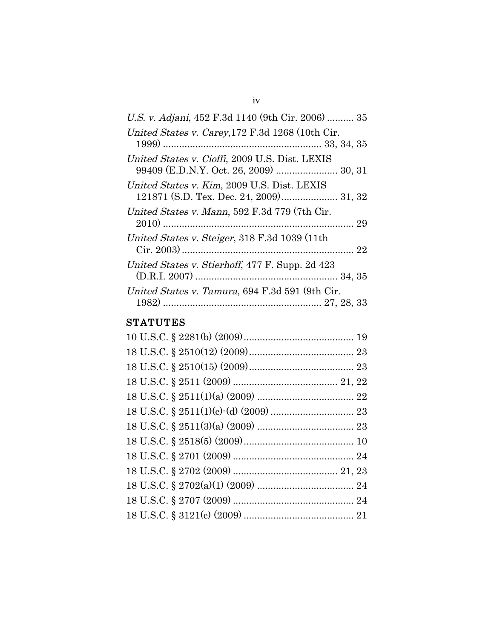| U.S. v. Adjani, 452 F.3d 1140 (9th Cir. 2006)  35 |
|---------------------------------------------------|
| United States v. Carey, 172 F.3d 1268 (10th Cir.  |
|                                                   |
| United States v. Cioffi, 2009 U.S. Dist. LEXIS    |
| 99409 (E.D.N.Y. Oct. 26, 2009)  30, 31            |
| United States v. Kim, 2009 U.S. Dist. LEXIS       |
| 121871 (S.D. Tex. Dec. 24, 2009) 31, 32           |
| United States v. Mann, 592 F.3d 779 (7th Cir.     |
|                                                   |
| United States v. Steiger, 318 F.3d 1039 (11th     |
|                                                   |
| United States v. Stierhoff, 477 F. Supp. 2d 423   |
|                                                   |
| United States v. Tamura, 694 F.3d 591 (9th Cir.   |
|                                                   |

# **STATUTES**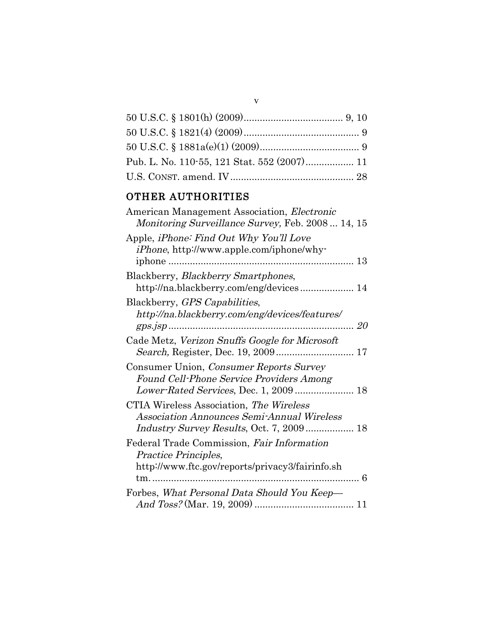| Pub. L. No. 110-55, 121 Stat. 552 (2007) 11 |  |
|---------------------------------------------|--|
|                                             |  |

v

# OTHER AUTHORITIES

| American Management Association, <i>Electronic</i><br>Monitoring Surveillance Survey, Feb. 2008  14, 15                                  |  |
|------------------------------------------------------------------------------------------------------------------------------------------|--|
| Apple, <i>iPhone: Find Out Why You'll Love</i><br><i>iPhone</i> , http://www.apple.com/iphone/why-<br>iphone                             |  |
| Blackberry, <i>Blackberry Smartphones</i> ,<br>http://na.blackberry.com/eng/devices 14                                                   |  |
| Blackberry, GPS Capabilities,<br>http://na.blackberry.com/eng/devices/features/                                                          |  |
| Cade Metz, Verizon Snuffs Google for Microsoft<br>Search, Register, Dec. 19, 2009 17                                                     |  |
| Consumer Union, Consumer Reports Survey<br>Found Cell-Phone Service Providers Among<br>Lower Rated Services, Dec. 1, 2009  18            |  |
| CTIA Wireless Association, The Wireless<br><b>Association Announces Semi-Annual Wireless</b><br>Industry Survey Results, Oct. 7, 2009 18 |  |
| Federal Trade Commission, Fair Information<br>Practice Principles,<br>http://www.ftc.gov/reports/privacy3/fairinfo.sh<br>$tm$<br>        |  |
| Forbes, What Personal Data Should You Keep-                                                                                              |  |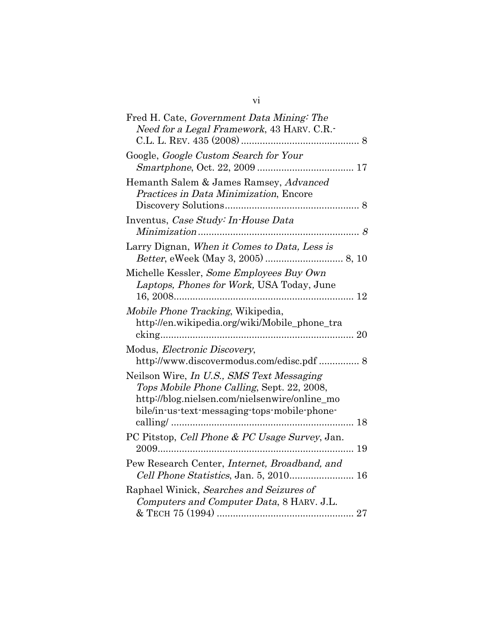| Fred H. Cate, Government Data Mining: The<br>Need for a Legal Framework, 43 HARV. C.R.-                                                                                                  |
|------------------------------------------------------------------------------------------------------------------------------------------------------------------------------------------|
| Google, Google Custom Search for Your                                                                                                                                                    |
| Hemanth Salem & James Ramsey, Advanced<br>Practices in Data Minimization, Encore                                                                                                         |
| Inventus, Case Study: In-House Data                                                                                                                                                      |
| Larry Dignan, When it Comes to Data, Less is                                                                                                                                             |
| Michelle Kessler, Some Employees Buy Own<br>Laptops, Phones for Work, USA Today, June                                                                                                    |
| Mobile Phone Tracking, Wikipedia,<br>http://en.wikipedia.org/wiki/Mobile_phone_tra                                                                                                       |
| Modus, Electronic Discovery,<br>http://www.discovermodus.com/edisc.pdf  8                                                                                                                |
| Neilson Wire, In U.S., SMS Text Messaging<br>Tops Mobile Phone Calling, Sept. 22, 2008,<br>http://blog.nielsen.com/nielsenwire/online_mo<br>bile/in-us-text-messaging-tops-mobile-phone- |
| PC Pitstop, Cell Phone & PC Usage Survey, Jan.                                                                                                                                           |
| Pew Research Center, Internet, Broadband, and                                                                                                                                            |
| Raphael Winick, Searches and Seizures of<br>Computers and Computer Data, 8 HARV. J.L.                                                                                                    |
|                                                                                                                                                                                          |

vi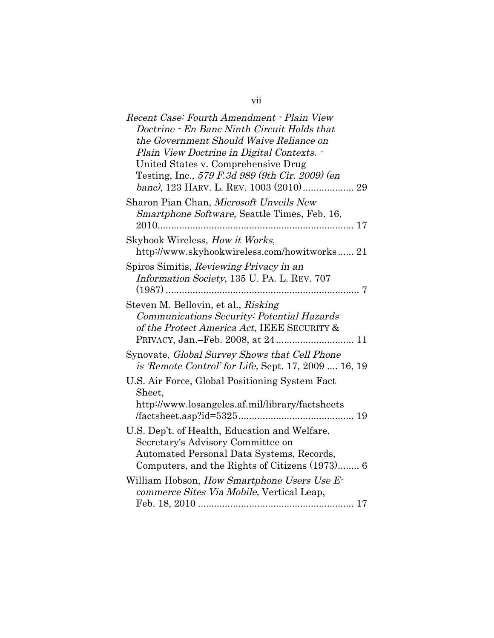| Recent Case: Fourth Amendment · Plain View<br>Doctrine - En Banc Ninth Circuit Holds that<br>the Government Should Waive Reliance on<br>Plain View Doctrine in Digital Contexts. -<br>United States v. Comprehensive Drug<br>Testing, Inc., 579 F.3d 989 (9th Cir. 2009) (en<br>banc), 123 HARV. L. REV. 1003 (2010) 29 |
|-------------------------------------------------------------------------------------------------------------------------------------------------------------------------------------------------------------------------------------------------------------------------------------------------------------------------|
| Sharon Pian Chan, Microsoft Unveils New<br>Smartphone Software, Seattle Times, Feb. 16,                                                                                                                                                                                                                                 |
| Skyhook Wireless, How it Works,<br>http://www.skyhookwireless.com/howitworks 21                                                                                                                                                                                                                                         |
| Spiros Simitis, Reviewing Privacy in an<br>Information Society, 135 U. PA. L. REV. 707                                                                                                                                                                                                                                  |
| Steven M. Bellovin, et al., Risking<br>Communications Security: Potential Hazards<br>of the Protect America Act, IEEE SECURITY &                                                                                                                                                                                        |
| Synovate, Global Survey Shows that Cell Phone<br>is 'Remote Control' for Life, Sept. 17, 2009  16, 19                                                                                                                                                                                                                   |
| U.S. Air Force, Global Positioning System Fact<br>Sheet,<br>http://www.losangeles.af.mil/library/factsheets                                                                                                                                                                                                             |
| U.S. Dep't. of Health, Education and Welfare,<br>Secretary's Advisory Committee on<br>Automated Personal Data Systems, Records,<br>Computers, and the Rights of Citizens (1973) 6<br>William Hobson, <i>How Smartphone Users Use E-</i><br>commerce Sites Via Mobile, Vertical Leap,<br>17                              |
|                                                                                                                                                                                                                                                                                                                         |

vii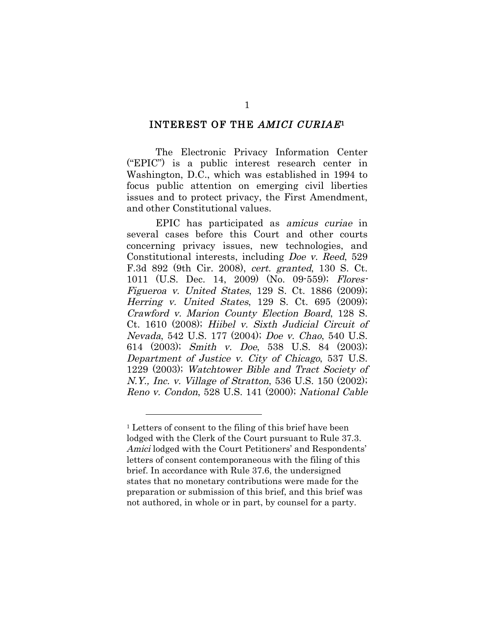#### INTEREST OF THE AMICI CURIAE1

The Electronic Privacy Information Center ("EPIC") is a public interest research center in Washington, D.C., which was established in 1994 to focus public attention on emerging civil liberties issues and to protect privacy, the First Amendment, and other Constitutional values.

EPIC has participated as amicus curiae in several cases before this Court and other courts concerning privacy issues, new technologies, and Constitutional interests, including Doe v. Reed, 529 F.3d 892 (9th Cir. 2008), cert. granted, 130 S. Ct. 1011 (U.S. Dec. 14, 2009) (No. 09-559); Flores-Figueroa v. United States, 129 S. Ct. 1886 (2009); Herring v. United States, 129 S. Ct. 695 (2009); Crawford v. Marion County Election Board, 128 S. Ct. 1610 (2008); Hiibel v. Sixth Judicial Circuit of Nevada, 542 U.S. 177 (2004); Doe v. Chao, 540 U.S. 614 (2003); Smith v. Doe, 538 U.S. 84 (2003); Department of Justice v. City of Chicago, 537 U.S. 1229 (2003); Watchtower Bible and Tract Society of N.Y., Inc. v. Village of Stratton, 536 U.S. 150 (2002); Reno v. Condon, 528 U.S. 141 (2000); National Cable

<sup>&</sup>lt;sup>1</sup> Letters of consent to the filing of this brief have been lodged with the Clerk of the Court pursuant to Rule 37.3. Amici lodged with the Court Petitioners' and Respondents' letters of consent contemporaneous with the filing of this brief. In accordance with Rule 37.6, the undersigned states that no monetary contributions were made for the preparation or submission of this brief, and this brief was not authored, in whole or in part, by counsel for a party.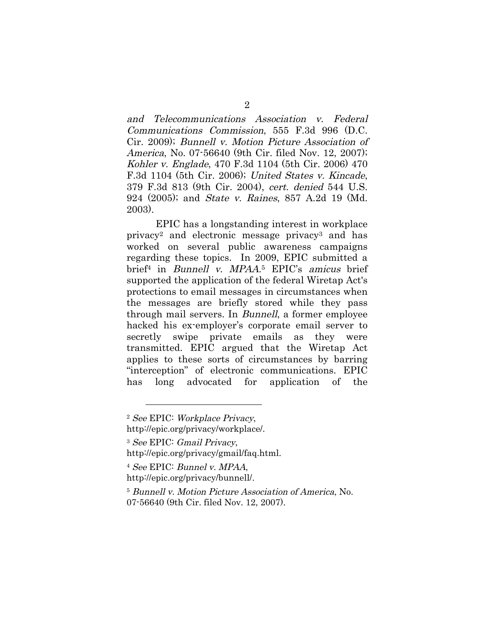and Telecommunications Association v. Federal Communications Commission, 555 F.3d 996 (D.C. Cir. 2009); Bunnell v. Motion Picture Association of America, No. 07-56640 (9th Cir. filed Nov. 12, 2007); Kohler v. Englade, 470 F.3d 1104 (5th Cir. 2006) 470 F.3d 1104 (5th Cir. 2006); United States v. Kincade, 379 F.3d 813 (9th Cir. 2004), cert. denied 544 U.S. 924 (2005); and State v. Raines, 857 A.2d 19 (Md. 2003).

EPIC has a longstanding interest in workplace privacy2 and electronic message privacy3 and has worked on several public awareness campaigns regarding these topics. In 2009, EPIC submitted a brief4 in Bunnell v. MPAA.5 EPIC's amicus brief supported the application of the federal Wiretap Act's protections to email messages in circumstances when the messages are briefly stored while they pass through mail servers. In Bunnell, a former employee hacked his ex-employer's corporate email server to secretly swipe private emails as they were transmitted. EPIC argued that the Wiretap Act applies to these sorts of circumstances by barring "interception" of electronic communications. EPIC has long advocated for application of the

<sup>2</sup> See EPIC: Workplace Privacy,

http://epic.org/privacy/workplace/.

<sup>3</sup> See EPIC: Gmail Privacy, http://epic.org/privacy/gmail/faq.html.

<sup>4</sup> See EPIC: Bunnel v. MPAA, http://epic.org/privacy/bunnell/.

<sup>5</sup> Bunnell v. Motion Picture Association of America, No. 07-56640 (9th Cir. filed Nov. 12, 2007).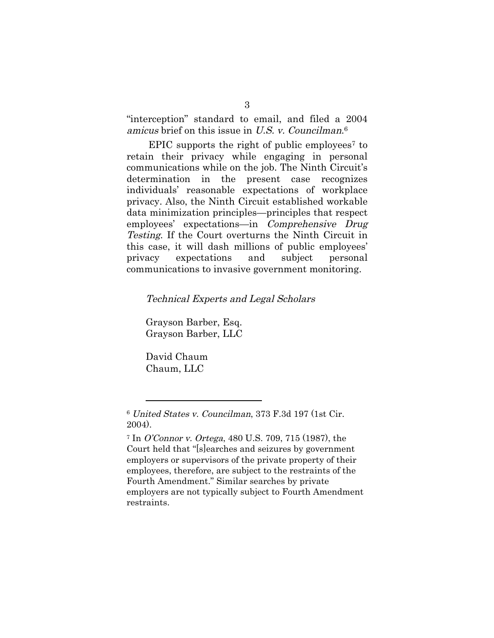"interception" standard to email, and filed a 2004 amicus brief on this issue in U.S. v. Councilman.6

EPIC supports the right of public employees<sup>7</sup> to retain their privacy while engaging in personal communications while on the job. The Ninth Circuit's determination in the present case recognizes individuals' reasonable expectations of workplace privacy. Also, the Ninth Circuit established workable data minimization principles—principles that respect employees' expectations—in Comprehensive Drug Testing. If the Court overturns the Ninth Circuit in this case, it will dash millions of public employees' privacy expectations and subject personal communications to invasive government monitoring.

#### Technical Experts and Legal Scholars

Grayson Barber, Esq. Grayson Barber, LLC

David Chaum Chaum, LLC

<sup>6</sup> United States v. Councilman, 373 F.3d 197 (1st Cir. 2004).

<sup>7</sup> In O'Connor v. Ortega, 480 U.S. 709, 715 (1987), the Court held that "[s]earches and seizures by government employers or supervisors of the private property of their employees, therefore, are subject to the restraints of the Fourth Amendment." Similar searches by private employers are not typically subject to Fourth Amendment restraints.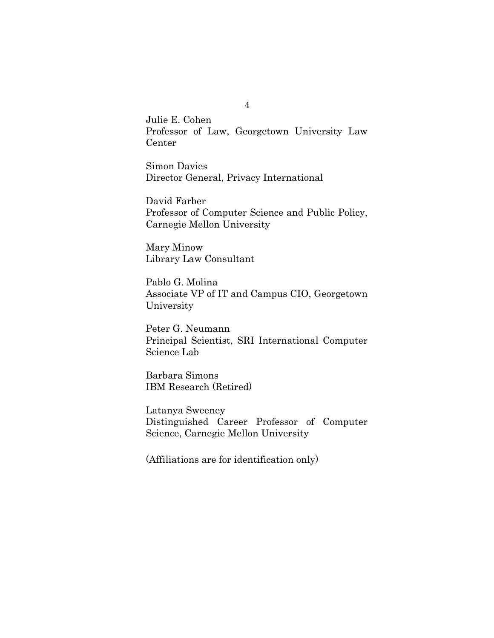Julie E. Cohen Professor of Law, Georgetown University Law Center

Simon Davies Director General, Privacy International

David Farber Professor of Computer Science and Public Policy, Carnegie Mellon University

Mary Minow Library Law Consultant

Pablo G. Molina Associate VP of IT and Campus CIO, Georgetown University

Peter G. Neumann Principal Scientist, SRI International Computer Science Lab

Barbara Simons IBM Research (Retired)

Latanya Sweeney Distinguished Career Professor of Computer Science, Carnegie Mellon University

(Affiliations are for identification only)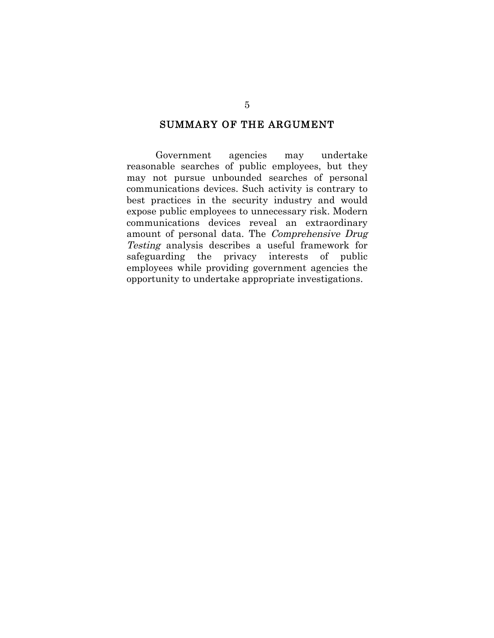#### SUMMARY OF THE ARGUMENT

Government agencies may undertake reasonable searches of public employees, but they may not pursue unbounded searches of personal communications devices. Such activity is contrary to best practices in the security industry and would expose public employees to unnecessary risk. Modern communications devices reveal an extraordinary amount of personal data. The Comprehensive Drug Testing analysis describes a useful framework for safeguarding the privacy interests of public employees while providing government agencies the opportunity to undertake appropriate investigations.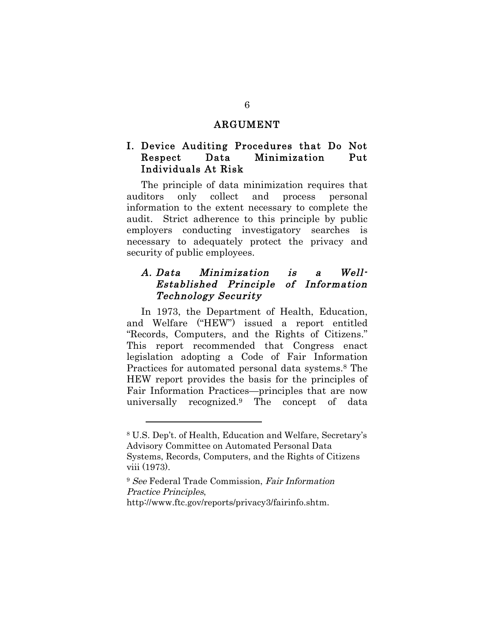#### ARGUMENT

#### I. Device Auditing Procedures that Do Not Respect Data Minimization Put Individuals At Risk

The principle of data minimization requires that auditors only collect and process personal information to the extent necessary to complete the audit. Strict adherence to this principle by public employers conducting investigatory searches is necessary to adequately protect the privacy and security of public employees.

#### A. Data Minimization is a Well-Established Principle of Information Technology Security

In 1973, the Department of Health, Education, and Welfare ("HEW") issued a report entitled "Records, Computers, and the Rights of Citizens." This report recommended that Congress enact legislation adopting a Code of Fair Information Practices for automated personal data systems.8 The HEW report provides the basis for the principles of Fair Information Practices—principles that are now universally recognized.9 The concept of data

<sup>8</sup> U.S. Dep't. of Health, Education and Welfare, Secretary's Advisory Committee on Automated Personal Data Systems, Records, Computers, and the Rights of Citizens viii (1973).

<sup>&</sup>lt;sup>9</sup> See Federal Trade Commission, Fair Information Practice Principles,

http://www.ftc.gov/reports/privacy3/fairinfo.shtm.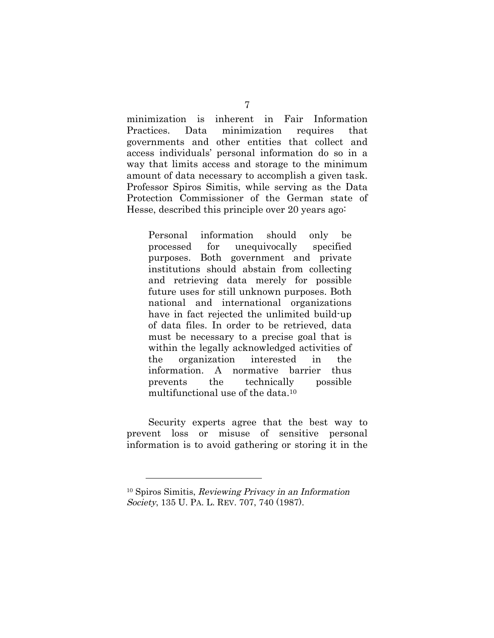minimization is inherent in Fair Information Practices. Data minimization requires that governments and other entities that collect and access individuals' personal information do so in a way that limits access and storage to the minimum amount of data necessary to accomplish a given task. Professor Spiros Simitis, while serving as the Data Protection Commissioner of the German state of Hesse, described this principle over 20 years ago:

Personal information should only be processed for unequivocally specified purposes. Both government and private institutions should abstain from collecting and retrieving data merely for possible future uses for still unknown purposes. Both national and international organizations have in fact rejected the unlimited build-up of data files. In order to be retrieved, data must be necessary to a precise goal that is within the legally acknowledged activities of the organization interested in the information. A normative barrier thus prevents the technically possible multifunctional use of the data.10

Security experts agree that the best way to prevent loss or misuse of sensitive personal information is to avoid gathering or storing it in the

<sup>10</sup> Spiros Simitis, Reviewing Privacy in an Information Society, 135 U. PA. L. REV. 707, 740 (1987).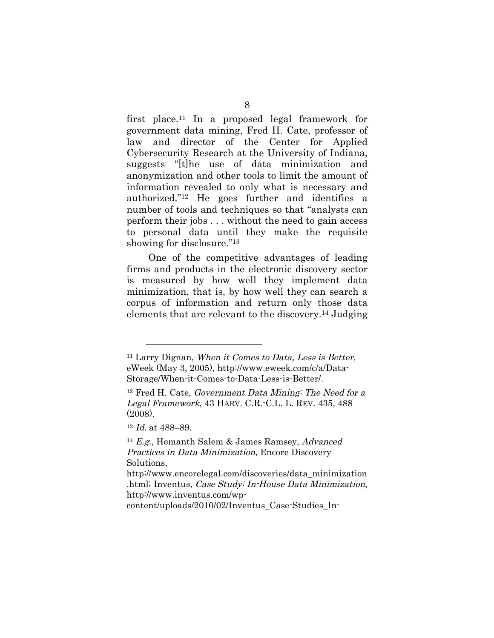first place.11 In a proposed legal framework for government data mining, Fred H. Cate, professor of law and director of the Center for Applied Cybersecurity Research at the University of Indiana, suggests "[t]he use of data minimization and anonymization and other tools to limit the amount of information revealed to only what is necessary and authorized."12 He goes further and identifies a number of tools and techniques so that "analysts can perform their jobs . . . without the need to gain access to personal data until they make the requisite showing for disclosure."13

One of the competitive advantages of leading firms and products in the electronic discovery sector is measured by how well they implement data minimization, that is, by how well they can search a corpus of information and return only those data elements that are relevant to the discovery.14 Judging

 $\overline{a}$ 

content/uploads/2010/02/Inventus\_Case-Studies\_In-

 $11$  Larry Dignan, When it Comes to Data, Less is Better, eWeek (May 3, 2005), http://www.eweek.com/c/a/Data-Storage/When-it-Comes-to-Data-Less-is-Better/.

<sup>12</sup> Fred H. Cate, Government Data Mining: The Need for a Legal Framework, 43 HARV. C.R.-C.L. L. REV. 435, 488 (2008).

<sup>13</sup> Id. at 488–89.

<sup>&</sup>lt;sup>14</sup> E.g., Hemanth Salem & James Ramsey, Advanced Practices in Data Minimization, Encore Discovery Solutions,

http://www.encorelegal.com/discoveries/data\_minimization .html; Inventus, Case Study: In-House Data Minimization, http://www.inventus.com/wp-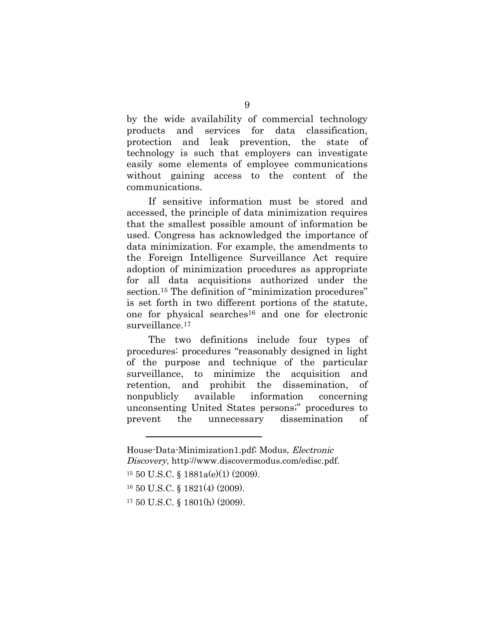by the wide availability of commercial technology products and services for data classification, protection and leak prevention, the state of technology is such that employers can investigate easily some elements of employee communications without gaining access to the content of the communications.

If sensitive information must be stored and accessed, the principle of data minimization requires that the smallest possible amount of information be used. Congress has acknowledged the importance of data minimization. For example, the amendments to the Foreign Intelligence Surveillance Act require adoption of minimization procedures as appropriate for all data acquisitions authorized under the section.15 The definition of "minimization procedures" is set forth in two different portions of the statute, one for physical searches16 and one for electronic surveillance.<sup>17</sup>

The two definitions include four types of procedures: procedures "reasonably designed in light of the purpose and technique of the particular surveillance, to minimize the acquisition and retention, and prohibit the dissemination, of nonpublicly available information concerning unconsenting United States persons;" procedures to prevent the unnecessary dissemination of

House-Data-Minimization1.pdf; Modus, Electronic Discovery, http://www.discovermodus.com/edisc.pdf.

 $15\ 50\ U.S.C.$  §  $1881a(e)(1)(2009)$ .

<sup>16 50</sup> U.S.C. § 1821(4) (2009).

<sup>17 50</sup> U.S.C. § 1801(h) (2009).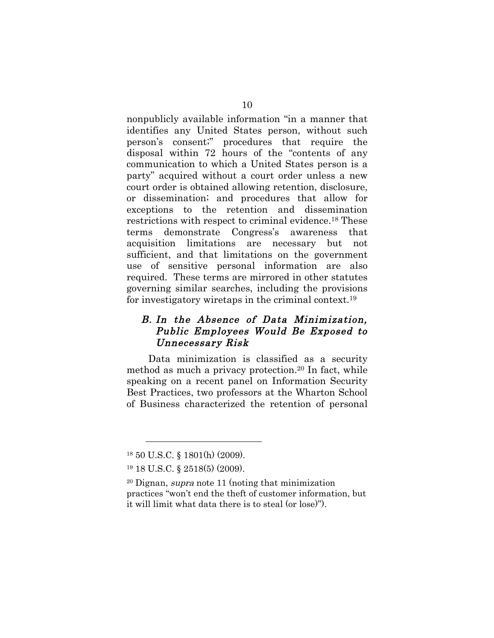nonpublicly available information "in a manner that identifies any United States person, without such person's consent;" procedures that require the disposal within 72 hours of the "contents of any communication to which a United States person is a party" acquired without a court order unless a new court order is obtained allowing retention, disclosure, or dissemination; and procedures that allow for exceptions to the retention and dissemination restrictions with respect to criminal evidence.18 These terms demonstrate Congress's awareness that acquisition limitations are necessary but not sufficient, and that limitations on the government use of sensitive personal information are also required. These terms are mirrored in other statutes governing similar searches, including the provisions for investigatory wiretaps in the criminal context.19

### B. In the Absence of Data Minimization, Public Employees Would Be Exposed to Unnecessary Risk

Data minimization is classified as a security method as much a privacy protection.20 In fact, while speaking on a recent panel on Information Security Best Practices, two professors at the Wharton School of Business characterized the retention of personal

<sup>18 50</sup> U.S.C. § 1801(h) (2009).

<sup>19 18</sup> U.S.C. § 2518(5) (2009).

 $20$  Dignan, supra note 11 (noting that minimization practices "won't end the theft of customer information, but it will limit what data there is to steal (or lose)").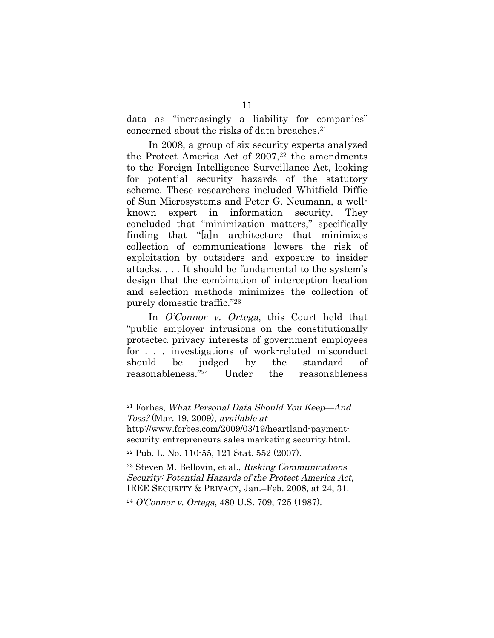data as "increasingly a liability for companies" concerned about the risks of data breaches.21

In 2008, a group of six security experts analyzed the Protect America Act of 2007,<sup>22</sup> the amendments to the Foreign Intelligence Surveillance Act, looking for potential security hazards of the statutory scheme. These researchers included Whitfield Diffie of Sun Microsystems and Peter G. Neumann, a wellknown expert in information security. They concluded that "minimization matters," specifically finding that "[a]n architecture that minimizes collection of communications lowers the risk of exploitation by outsiders and exposure to insider attacks. . . . It should be fundamental to the system's design that the combination of interception location and selection methods minimizes the collection of purely domestic traffic."23

In O'Connor v. Ortega, this Court held that "public employer intrusions on the constitutionally protected privacy interests of government employees for . . . investigations of work-related misconduct should be judged by the standard of reasonableness."24 Under the reasonableness

<sup>21</sup> Forbes, What Personal Data Should You Keep—And Toss? (Mar. 19, 2009), available at

http://www.forbes.com/2009/03/19/heartland-paymentsecurity-entrepreneurs-sales-marketing-security.html.

<sup>22</sup> Pub. L. No. 110-55, 121 Stat. 552 (2007).

<sup>23</sup> Steven M. Bellovin, et al., Risking Communications Security: Potential Hazards of the Protect America Act, IEEE SECURITY & PRIVACY, Jan.–Feb. 2008, at 24, 31.

<sup>24</sup> O'Connor v. Ortega, 480 U.S. 709, 725 (1987).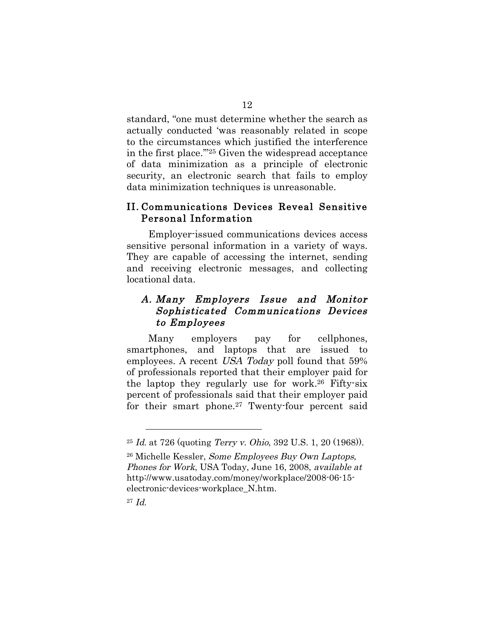standard, "one must determine whether the search as actually conducted 'was reasonably related in scope to the circumstances which justified the interference in the first place.'"25 Given the widespread acceptance of data minimization as a principle of electronic security, an electronic search that fails to employ data minimization techniques is unreasonable.

#### II. Communications Devices Reveal Sensitive Personal Information

Employer-issued communications devices access sensitive personal information in a variety of ways. They are capable of accessing the internet, sending and receiving electronic messages, and collecting locational data.

### A. Many Employers Issue and Monitor Sophisticated Communications Devices to Employees

Many employers pay for cellphones, smartphones, and laptops that are issued to employees. A recent USA Today poll found that 59% of professionals reported that their employer paid for the laptop they regularly use for work.26 Fifty-six percent of professionals said that their employer paid for their smart phone.<sup>27</sup> Twenty-four percent said

<sup>25</sup> Id. at 726 (quoting Terry v. Ohio, 392 U.S. 1, 20 (1968)).

<sup>26</sup> Michelle Kessler, Some Employees Buy Own Laptops, Phones for Work, USA Today, June 16, 2008, available at http://www.usatoday.com/money/workplace/2008-06-15 electronic-devices-workplace\_N.htm.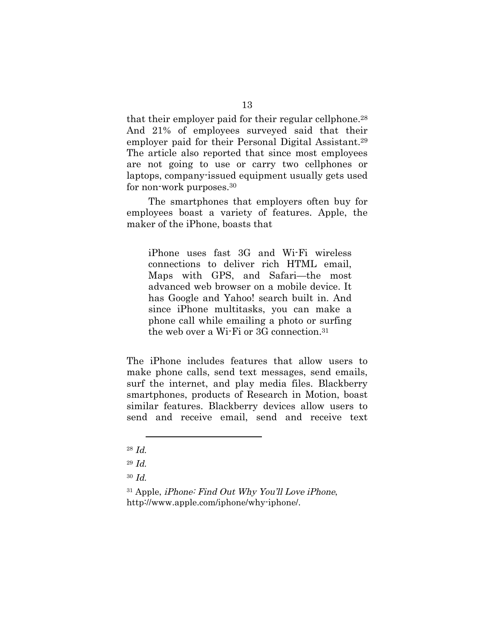that their employer paid for their regular cellphone.<sup>28</sup> And 21% of employees surveyed said that their employer paid for their Personal Digital Assistant.29 The article also reported that since most employees are not going to use or carry two cellphones or laptops, company-issued equipment usually gets used for non-work purposes.30

The smartphones that employers often buy for employees boast a variety of features. Apple, the maker of the iPhone, boasts that

iPhone uses fast 3G and Wi-Fi wireless connections to deliver rich HTML email, Maps with GPS, and Safari—the most advanced web browser on a mobile device. It has Google and Yahoo! search built in. And since iPhone multitasks, you can make a phone call while emailing a photo or surfing the web over a Wi-Fi or 3G connection.31

The iPhone includes features that allow users to make phone calls, send text messages, send emails, surf the internet, and play media files. Blackberry smartphones, products of Research in Motion, boast similar features. Blackberry devices allow users to send and receive email, send and receive text

<sup>28</sup> Id.

<sup>29</sup> Id.

<sup>30</sup> Id.

<sup>&</sup>lt;sup>31</sup> Apple, *iPhone: Find Out Why You'll Love iPhone*, http://www.apple.com/iphone/why-iphone/.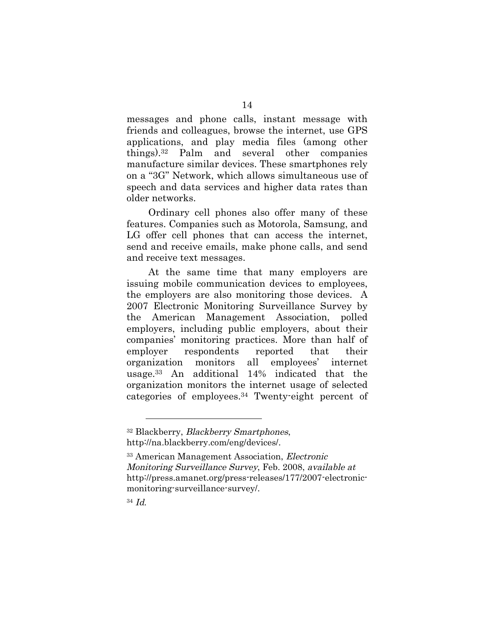messages and phone calls, instant message with friends and colleagues, browse the internet, use GPS applications, and play media files (among other things).32 Palm and several other companies manufacture similar devices. These smartphones rely on a "3G" Network, which allows simultaneous use of speech and data services and higher data rates than older networks.

Ordinary cell phones also offer many of these features. Companies such as Motorola, Samsung, and LG offer cell phones that can access the internet, send and receive emails, make phone calls, and send and receive text messages.

At the same time that many employers are issuing mobile communication devices to employees, the employers are also monitoring those devices. A 2007 Electronic Monitoring Surveillance Survey by the American Management Association, polled employers, including public employers, about their companies' monitoring practices. More than half of employer respondents reported that their organization monitors all employees' internet usage.33 An additional 14% indicated that the organization monitors the internet usage of selected categories of employees.34 Twenty-eight percent of

<sup>32</sup> Blackberry, Blackberry Smartphones, http://na.blackberry.com/eng/devices/.

<sup>33</sup> American Management Association, Electronic Monitoring Surveillance Survey, Feb. 2008, available at http://press.amanet.org/press-releases/177/2007-electronicmonitoring-surveillance-survey/.

<sup>34</sup> Id.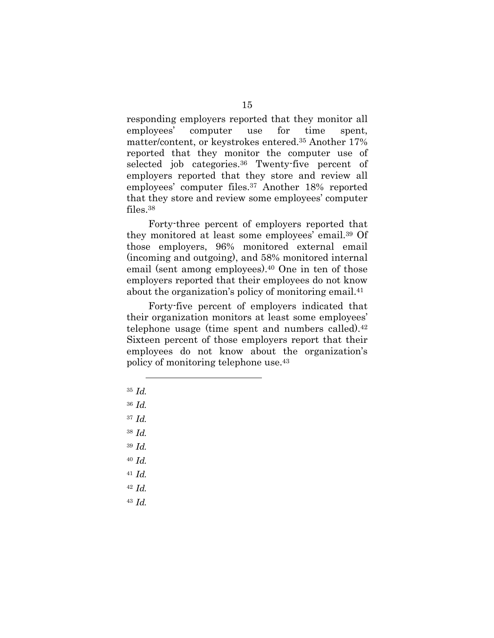responding employers reported that they monitor all employees' computer use for time spent, matter/content, or keystrokes entered.35 Another 17% reported that they monitor the computer use of selected job categories.<sup>36</sup> Twenty-five percent of employers reported that they store and review all employees' computer files.37 Another 18% reported that they store and review some employees' computer files.38

Forty-three percent of employers reported that they monitored at least some employees' email.39 Of those employers, 96% monitored external email (incoming and outgoing), and 58% monitored internal email (sent among employees).40 One in ten of those employers reported that their employees do not know about the organization's policy of monitoring email.41

Forty-five percent of employers indicated that their organization monitors at least some employees' telephone usage (time spent and numbers called).42 Sixteen percent of those employers report that their employees do not know about the organization's policy of monitoring telephone use.43

 $35$  *Id.* 

- 36 Id.
- 37 Id.
- 38 Id.
- 39 Id.
- 40 Id.
- 
- $41$  *Id.*
- 42 Id.
- $43$  *Id.*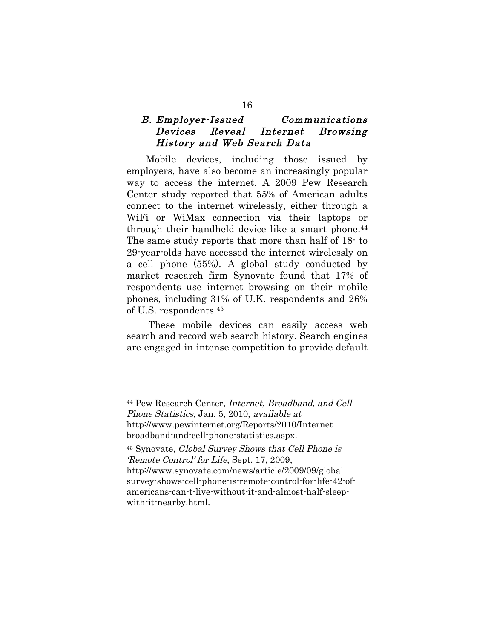### B. Employer-Issued Communications Devices Reveal Internet Browsing History and Web Search Data

Mobile devices, including those issued by employers, have also become an increasingly popular way to access the internet. A 2009 Pew Research Center study reported that 55% of American adults connect to the internet wirelessly, either through a WiFi or WiMax connection via their laptops or through their handheld device like a smart phone.44 The same study reports that more than half of 18- to 29-year-olds have accessed the internet wirelessly on a cell phone (55%). A global study conducted by market research firm Synovate found that 17% of respondents use internet browsing on their mobile phones, including 31% of U.K. respondents and 26% of U.S. respondents.45

These mobile devices can easily access web search and record web search history. Search engines are engaged in intense competition to provide default

<sup>44</sup> Pew Research Center, Internet, Broadband, and Cell Phone Statistics, Jan. 5, 2010, available at http://www.pewinternet.org/Reports/2010/Internetbroadband-and-cell-phone-statistics.aspx.

<sup>45</sup> Synovate, Global Survey Shows that Cell Phone is 'Remote Control' for Life, Sept. 17, 2009, http://www.synovate.com/news/article/2009/09/globalsurvey-shows-cell-phone-is-remote-control-for-life-42-ofamericans-can-t-live-without-it-and-almost-half-sleepwith-it-nearby.html.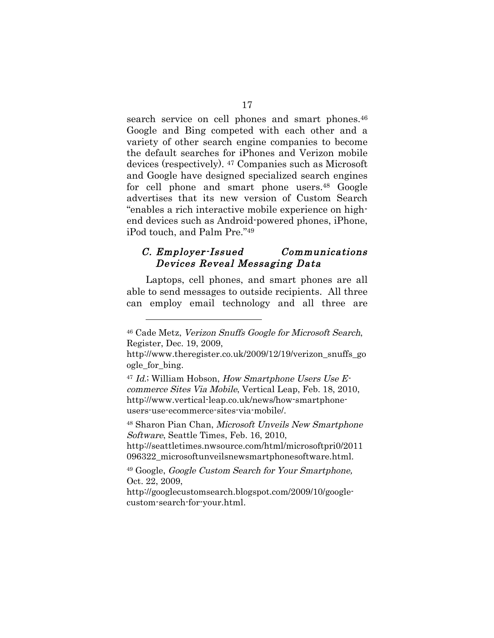search service on cell phones and smart phones.<sup>46</sup> Google and Bing competed with each other and a variety of other search engine companies to become the default searches for iPhones and Verizon mobile devices (respectively). 47 Companies such as Microsoft and Google have designed specialized search engines for cell phone and smart phone users.<sup>48</sup> Google advertises that its new version of Custom Search "enables a rich interactive mobile experience on highend devices such as Android-powered phones, iPhone, iPod touch, and Palm Pre."49

#### C. Employer-Issued Communications Devices Reveal Messaging Data

Laptops, cell phones, and smart phones are all able to send messages to outside recipients. All three can employ email technology and all three are

 $\overline{a}$ 

48 Sharon Pian Chan, Microsoft Unveils New Smartphone Software, Seattle Times, Feb. 16, 2010,

http://seattletimes.nwsource.com/html/microsoftpri0/2011 096322\_microsoftunveilsnewsmartphonesoftware.html.

49 Google, Google Custom Search for Your Smartphone, Oct. 22, 2009,

http://googlecustomsearch.blogspot.com/2009/10/googlecustom-search-for-your.html.

<sup>46</sup> Cade Metz, Verizon Snuffs Google for Microsoft Search, Register, Dec. 19, 2009,

http://www.theregister.co.uk/2009/12/19/verizon\_snuffs\_go ogle for bing.

 $47$  Id.; William Hobson, How Smartphone Users Use Ecommerce Sites Via Mobile, Vertical Leap, Feb. 18, 2010, http://www.vertical-leap.co.uk/news/how-smartphoneusers-use-ecommerce-sites-via-mobile/.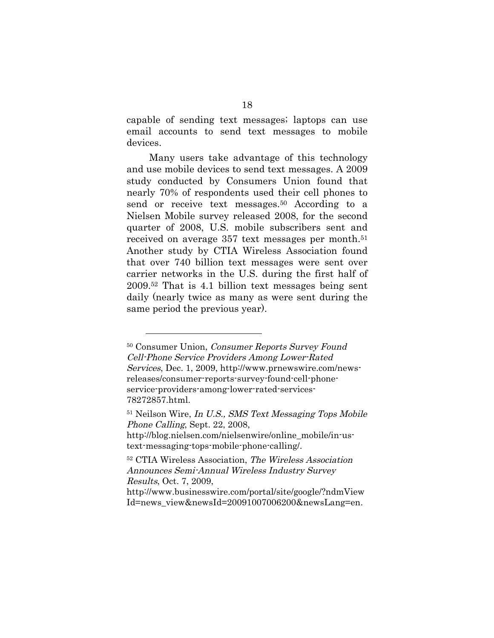capable of sending text messages; laptops can use email accounts to send text messages to mobile devices.

Many users take advantage of this technology and use mobile devices to send text messages. A 2009 study conducted by Consumers Union found that nearly 70% of respondents used their cell phones to send or receive text messages.<sup>50</sup> According to a Nielsen Mobile survey released 2008, for the second quarter of 2008, U.S. mobile subscribers sent and received on average 357 text messages per month.<sup>51</sup> Another study by CTIA Wireless Association found that over 740 billion text messages were sent over carrier networks in the U.S. during the first half of 2009.52 That is 4.1 billion text messages being sent daily (nearly twice as many as were sent during the same period the previous year).

<sup>50</sup> Consumer Union, Consumer Reports Survey Found Cell-Phone Service Providers Among Lower-Rated Services, Dec. 1, 2009, http://www.prnewswire.com/newsreleases/consumer-reports-survey-found-cell-phoneservice-providers-among-lower-rated-services-78272857.html.

<sup>51</sup> Neilson Wire, In U.S., SMS Text Messaging Tops Mobile Phone Calling, Sept. 22, 2008,

http://blog.nielsen.com/nielsenwire/online\_mobile/in-ustext-messaging-tops-mobile-phone-calling/.

<sup>52</sup> CTIA Wireless Association, The Wireless Association Announces Semi-Annual Wireless Industry Survey Results, Oct. 7, 2009,

http://www.businesswire.com/portal/site/google/?ndmView Id=news\_view&newsId=20091007006200&newsLang=en.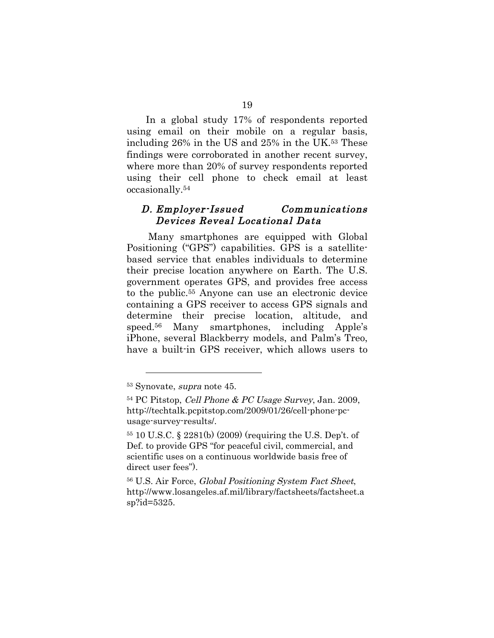In a global study 17% of respondents reported using email on their mobile on a regular basis, including 26% in the US and 25% in the UK.53 These findings were corroborated in another recent survey, where more than 20% of survey respondents reported using their cell phone to check email at least occasionally.54

#### D. Employer-Issued Communications Devices Reveal Locational Data

Many smartphones are equipped with Global Positioning ("GPS") capabilities. GPS is a satellitebased service that enables individuals to determine their precise location anywhere on Earth. The U.S. government operates GPS, and provides free access to the public.55 Anyone can use an electronic device containing a GPS receiver to access GPS signals and determine their precise location, altitude, and speed.56 Many smartphones, including Apple's iPhone, several Blackberry models, and Palm's Treo, have a built-in GPS receiver, which allows users to

 $\overline{a}$ 

56 U.S. Air Force, Global Positioning System Fact Sheet, http://www.losangeles.af.mil/library/factsheets/factsheet.a sp?id=5325.

<sup>53</sup> Synovate, supra note 45.

<sup>54</sup> PC Pitstop, Cell Phone & PC Usage Survey, Jan. 2009, http://techtalk.pcpitstop.com/2009/01/26/cell-phone-pcusage-survey-results/.

<sup>55 10</sup> U.S.C. § 2281(b) (2009) (requiring the U.S. Dep't. of Def. to provide GPS "for peaceful civil, commercial, and scientific uses on a continuous worldwide basis free of direct user fees").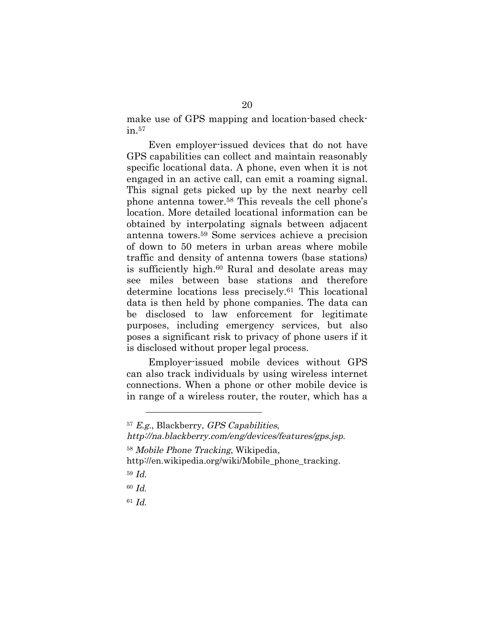make use of GPS mapping and location-based checkin.57

Even employer-issued devices that do not have GPS capabilities can collect and maintain reasonably specific locational data. A phone, even when it is not engaged in an active call, can emit a roaming signal. This signal gets picked up by the next nearby cell phone antenna tower.58 This reveals the cell phone's location. More detailed locational information can be obtained by interpolating signals between adjacent antenna towers.59 Some services achieve a precision of down to 50 meters in urban areas where mobile traffic and density of antenna towers (base stations) is sufficiently high.60 Rural and desolate areas may see miles between base stations and therefore determine locations less precisely.61 This locational data is then held by phone companies. The data can be disclosed to law enforcement for legitimate purposes, including emergency services, but also poses a significant risk to privacy of phone users if it is disclosed without proper legal process.

Employer-issued mobile devices without GPS can also track individuals by using wireless internet connections. When a phone or other mobile device is in range of a wireless router, the router, which has a

http://na.blackberry.com/eng/devices/features/gps.jsp.

 $57$  E.g., Blackberry, GPS Capabilities,

<sup>58</sup> Mobile Phone Tracking, Wikipedia,

http://en.wikipedia.org/wiki/Mobile\_phone\_tracking.

<sup>59</sup> Id.

<sup>60</sup> Id.

<sup>61</sup> Id.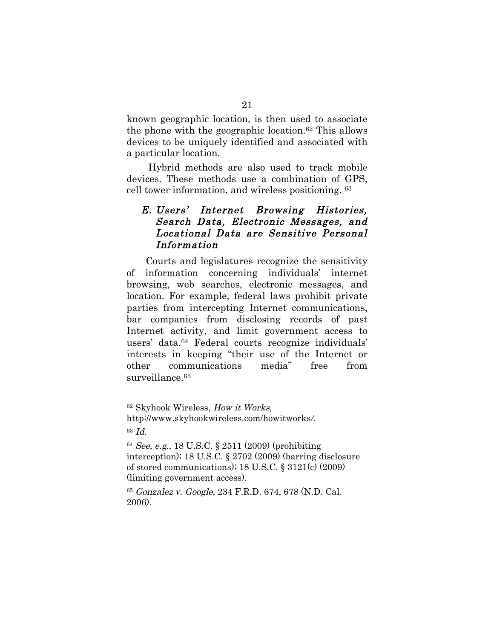known geographic location, is then used to associate the phone with the geographic location.62 This allows devices to be uniquely identified and associated with a particular location.

Hybrid methods are also used to track mobile devices. These methods use a combination of GPS, cell tower information, and wireless positioning. 63

### E. Users' Internet Browsing Histories, Search Data, Electronic Messages, and Locational Data are Sensitive Personal Information

Courts and legislatures recognize the sensitivity of information concerning individuals' internet browsing, web searches, electronic messages, and location. For example, federal laws prohibit private parties from intercepting Internet communications, bar companies from disclosing records of past Internet activity, and limit government access to users' data.64 Federal courts recognize individuals' interests in keeping "their use of the Internet or other communications media" free from surveillance.<sup>65</sup>

<sup>62</sup> Skyhook Wireless, How it Works,

http://www.skyhookwireless.com/howitworks/.

<sup>63</sup> Id.

<sup>64</sup> See, e.g., 18 U.S.C. § 2511 (2009) (prohibiting interception); 18 U.S.C. § 2702 (2009) (barring disclosure of stored communications); 18 U.S.C. § 3121(c) (2009) (limiting government access).

<sup>65</sup> Gonzalez v. Google, 234 F.R.D. 674, 678 (N.D. Cal. 2006).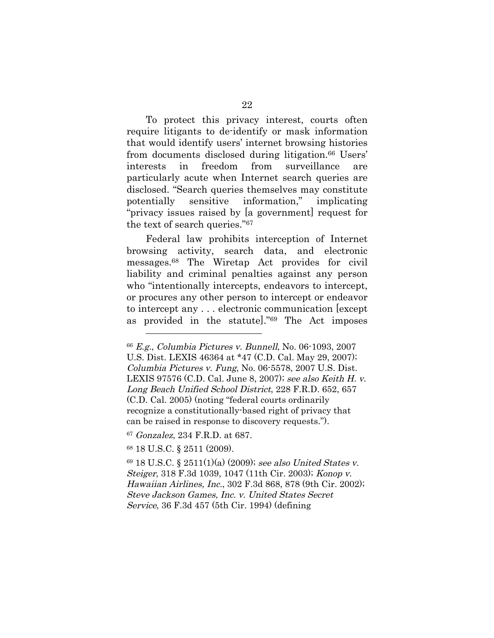To protect this privacy interest, courts often require litigants to de-identify or mask information that would identify users' internet browsing histories from documents disclosed during litigation.<sup>66</sup> Users' interests in freedom from surveillance are particularly acute when Internet search queries are disclosed. "Search queries themselves may constitute potentially sensitive information," implicating "privacy issues raised by [a government] request for the text of search queries."67

Federal law prohibits interception of Internet browsing activity, search data, and electronic messages.68 The Wiretap Act provides for civil liability and criminal penalties against any person who "intentionally intercepts, endeavors to intercept, or procures any other person to intercept or endeavor to intercept any . . . electronic communication [except as provided in the statute]."69 The Act imposes

<sup>67</sup> Gonzalez, 234 F.R.D. at 687.

68 18 U.S.C. § 2511 (2009).

 $\overline{a}$ 

 $69$  18 U.S.C.  $\S$  2511(1)(a) (2009); see also United States v. Steiger, 318 F.3d 1039, 1047 (11th Cir. 2003); Konop v. Hawaiian Airlines, Inc., 302 F.3d 868, 878 (9th Cir. 2002); Steve Jackson Games, Inc. v. United States Secret Service, 36 F.3d 457 (5th Cir. 1994) (defining

<sup>66</sup> E.g., Columbia Pictures v. Bunnell, No. 06-1093, 2007 U.S. Dist. LEXIS 46364 at \*47 (C.D. Cal. May 29, 2007); Columbia Pictures v. Fung, No. 06-5578, 2007 U.S. Dist. LEXIS 97576 (C.D. Cal. June 8, 2007); see also Keith H. v. Long Beach Unified School District, 228 F.R.D. 652, 657 (C.D. Cal. 2005) (noting "federal courts ordinarily recognize a constitutionally-based right of privacy that can be raised in response to discovery requests.").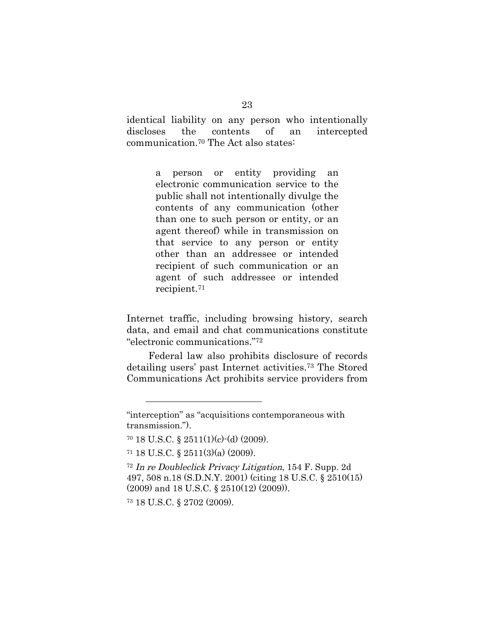identical liability on any person who intentionally discloses the contents of an intercepted communication.70 The Act also states:

> a person or entity providing an electronic communication service to the public shall not intentionally divulge the contents of any communication (other than one to such person or entity, or an agent thereof) while in transmission on that service to any person or entity other than an addressee or intended recipient of such communication or an agent of such addressee or intended recipient.71

Internet traffic, including browsing history, search data, and email and chat communications constitute "electronic communications."72

Federal law also prohibits disclosure of records detailing users' past Internet activities.73 The Stored Communications Act prohibits service providers from

73 18 U.S.C. § 2702 (2009).

<sup>&</sup>quot;interception" as "acquisitions contemporaneous with transmission.").

 $70$  18 U.S.C. § 2511(1)(c)-(d) (2009).

<sup>71 18</sup> U.S.C. § 2511(3)(a) (2009).

<sup>72</sup> In re Doubleclick Privacy Litigation, 154 F. Supp. 2d 497, 508 n.18 (S.D.N.Y. 2001) (citing 18 U.S.C. § 2510(15) (2009) and 18 U.S.C. § 2510(12) (2009)).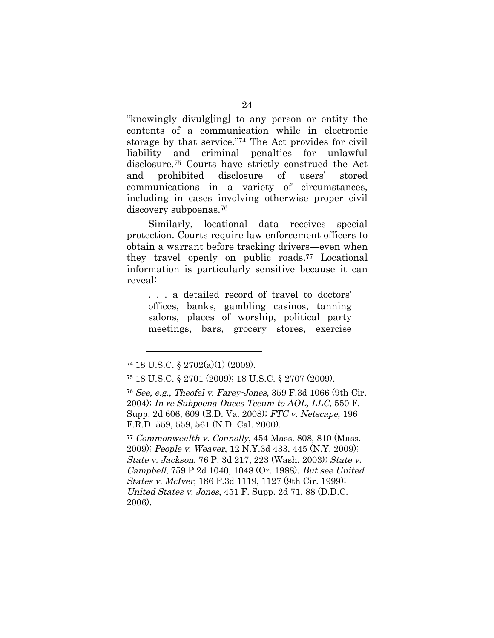"knowingly divulg[ing] to any person or entity the contents of a communication while in electronic storage by that service."74 The Act provides for civil liability and criminal penalties for unlawful disclosure.75 Courts have strictly construed the Act and prohibited disclosure of users' stored communications in a variety of circumstances, including in cases involving otherwise proper civil discovery subpoenas.76

Similarly, locational data receives special protection. Courts require law enforcement officers to obtain a warrant before tracking drivers—even when they travel openly on public roads.77 Locational information is particularly sensitive because it can reveal:

. . . a detailed record of travel to doctors' offices, banks, gambling casinos, tanning salons, places of worship, political party meetings, bars, grocery stores, exercise

 $\overline{a}$ 

<sup>77</sup> Commonwealth v. Connolly, 454 Mass. 808, 810 (Mass. 2009); People v. Weaver, 12 N.Y.3d 433, 445 (N.Y. 2009); State v. Jackson, 76 P. 3d 217, 223 (Wash. 2003); State v. Campbell, 759 P.2d 1040, 1048 (Or. 1988). But see United States v. McIver, 186 F.3d 1119, 1127 (9th Cir. 1999); United States v. Jones, 451 F. Supp. 2d 71, 88 (D.D.C. 2006).

<sup>74 18</sup> U.S.C. § 2702(a)(1) (2009).

<sup>75 18</sup> U.S.C. § 2701 (2009); 18 U.S.C. § 2707 (2009).

 $76$  See, e.g., Theofel v. Farey-Jones, 359 F.3d 1066 (9th Cir. 2004); In re Subpoena Duces Tecum to AOL, LLC, 550 F. Supp. 2d 606, 609 (E.D. Va. 2008); FTC v. Netscape, 196 F.R.D. 559, 559, 561 (N.D. Cal. 2000).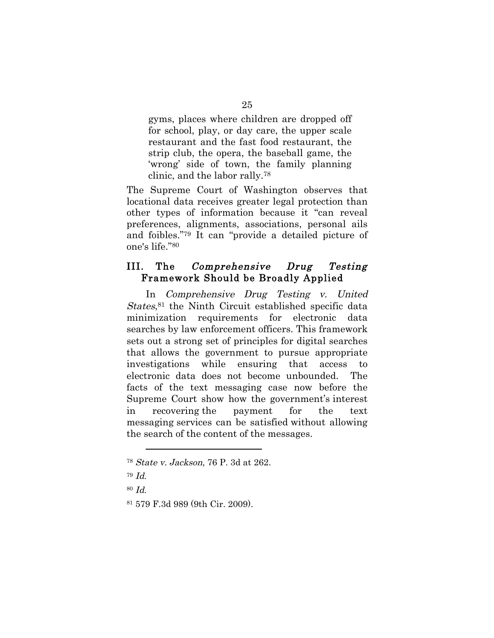gyms, places where children are dropped off for school, play, or day care, the upper scale restaurant and the fast food restaurant, the strip club, the opera, the baseball game, the 'wrong' side of town, the family planning clinic, and the labor rally.78

The Supreme Court of Washington observes that locational data receives greater legal protection than other types of information because it "can reveal preferences, alignments, associations, personal ails and foibles."79 It can "provide a detailed picture of one's life."80

#### III. The Comprehensive Drug Testing Framework Should be Broadly Applied

In Comprehensive Drug Testing v. United States,81 the Ninth Circuit established specific data minimization requirements for electronic data searches by law enforcement officers. This framework sets out a strong set of principles for digital searches that allows the government to pursue appropriate investigations while ensuring that access to electronic data does not become unbounded. The facts of the text messaging case now before the Supreme Court show how the government's interest in recovering the payment for the text messaging services can be satisfied without allowing the search of the content of the messages.

<sup>78</sup> State v. Jackson, 76 P. 3d at 262.

<sup>79</sup> Id.

<sup>80</sup> Id.

<sup>81 579</sup> F.3d 989 (9th Cir. 2009).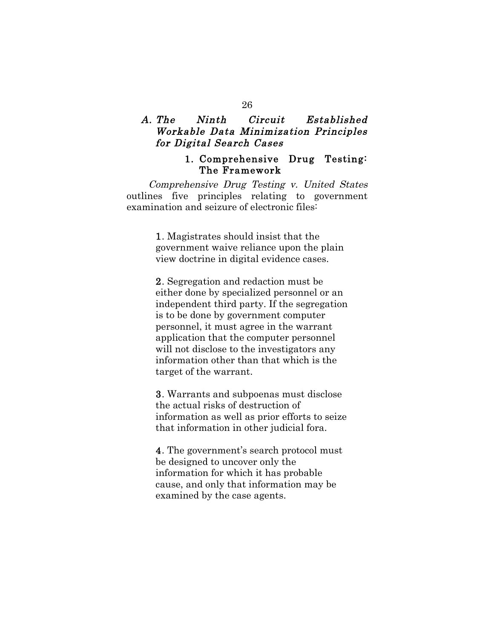### A. The Ninth Circuit Established Workable Data Minimization Principles for Digital Search Cases

#### 1. Comprehensive Drug Testing: The Framework

Comprehensive Drug Testing v. United States outlines five principles relating to government examination and seizure of electronic files:

> 1. Magistrates should insist that the government waive reliance upon the plain view doctrine in digital evidence cases.

2. Segregation and redaction must be either done by specialized personnel or an independent third party. If the segregation is to be done by government computer personnel, it must agree in the warrant application that the computer personnel will not disclose to the investigators any information other than that which is the target of the warrant.

3. Warrants and subpoenas must disclose the actual risks of destruction of information as well as prior efforts to seize that information in other judicial fora.

4. The government's search protocol must be designed to uncover only the information for which it has probable cause, and only that information may be examined by the case agents.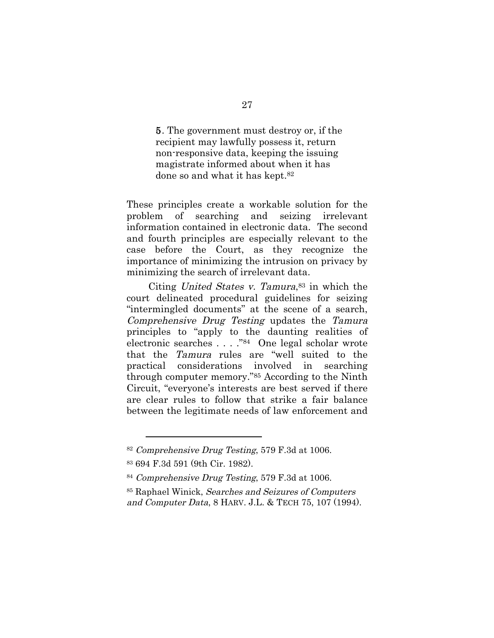5. The government must destroy or, if the recipient may lawfully possess it, return non-responsive data, keeping the issuing magistrate informed about when it has done so and what it has kept.82

These principles create a workable solution for the problem of searching and seizing irrelevant information contained in electronic data. The second and fourth principles are especially relevant to the case before the Court, as they recognize the importance of minimizing the intrusion on privacy by minimizing the search of irrelevant data.

Citing United States v. Tamura,  $83$  in which the court delineated procedural guidelines for seizing "intermingled documents" at the scene of a search, Comprehensive Drug Testing updates the Tamura principles to "apply to the daunting realities of electronic searches . . . ."84 One legal scholar wrote that the Tamura rules are "well suited to the practical considerations involved in searching through computer memory."85 According to the Ninth Circuit, "everyone's interests are best served if there are clear rules to follow that strike a fair balance between the legitimate needs of law enforcement and

<sup>82</sup> Comprehensive Drug Testing, 579 F.3d at 1006.

<sup>83 694</sup> F.3d 591 (9th Cir. 1982).

<sup>84</sup> Comprehensive Drug Testing, 579 F.3d at 1006.

<sup>85</sup> Raphael Winick, Searches and Seizures of Computers and Computer Data, 8 HARV. J.L. & TECH 75, 107 (1994).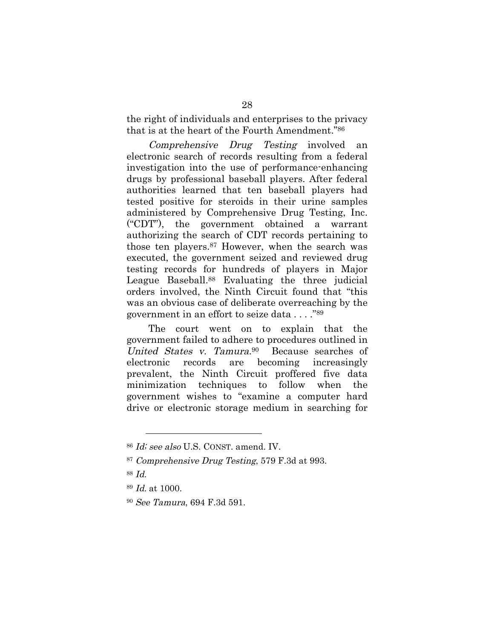the right of individuals and enterprises to the privacy that is at the heart of the Fourth Amendment."86

Comprehensive Drug Testing involved an electronic search of records resulting from a federal investigation into the use of performance-enhancing drugs by professional baseball players. After federal authorities learned that ten baseball players had tested positive for steroids in their urine samples administered by Comprehensive Drug Testing, Inc. ("CDT"), the government obtained a warrant authorizing the search of CDT records pertaining to those ten players.87 However, when the search was executed, the government seized and reviewed drug testing records for hundreds of players in Major League Baseball.<sup>88</sup> Evaluating the three judicial orders involved, the Ninth Circuit found that "this was an obvious case of deliberate overreaching by the government in an effort to seize data . . . ."89

The court went on to explain that the government failed to adhere to procedures outlined in United States v. Tamura.<sup>90</sup> Because searches of electronic records are becoming increasingly prevalent, the Ninth Circuit proffered five data minimization techniques to follow when the government wishes to "examine a computer hard drive or electronic storage medium in searching for

<sup>86</sup> Id; see also U.S. CONST. amend. IV.

<sup>87</sup> Comprehensive Drug Testing, 579 F.3d at 993.

<sup>88</sup> Id.

<sup>89</sup> Id. at 1000.

<sup>90</sup> See Tamura, 694 F.3d 591.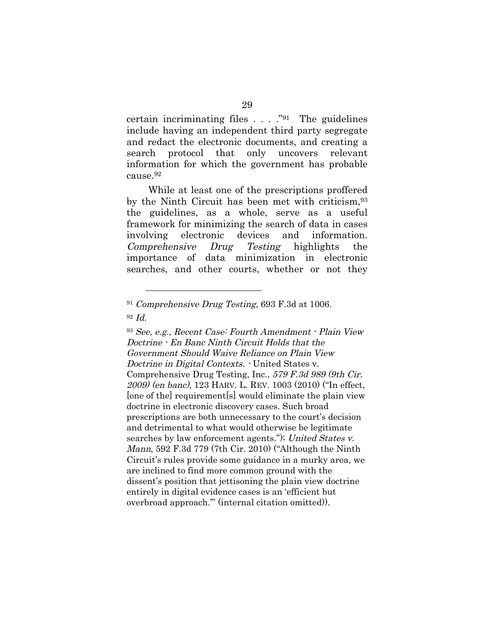certain incriminating files  $\dots$  ."91 The guidelines include having an independent third party segregate and redact the electronic documents, and creating a search protocol that only uncovers relevant information for which the government has probable cause.92

While at least one of the prescriptions proffered by the Ninth Circuit has been met with criticism,93 the guidelines, as a whole, serve as a useful framework for minimizing the search of data in cases involving electronic devices and information. Comprehensive Drug Testing highlights the importance of data minimization in electronic searches, and other courts, whether or not they

 $\overline{a}$ 

<sup>93</sup> See, e.g., Recent Case: Fourth Amendment - Plain View Doctrine - En Banc Ninth Circuit Holds that the Government Should Waive Reliance on Plain View Doctrine in Digital Contexts. - United States v. Comprehensive Drug Testing, Inc., 579 F.3d 989 (9th Cir. 2009) (en banc), 123 HARV. L. REV. 1003 (2010) ("In effect, [one of the] requirement[s] would eliminate the plain view doctrine in electronic discovery cases. Such broad prescriptions are both unnecessary to the court's decision and detrimental to what would otherwise be legitimate searches by law enforcement agents."); United States v. Mann, 592 F.3d 779 (7th Cir. 2010) ("Although the Ninth Circuit's rules provide some guidance in a murky area, we are inclined to find more common ground with the dissent's position that jettisoning the plain view doctrine entirely in digital evidence cases is an 'efficient but overbroad approach.'" (internal citation omitted)).

 $91$  Comprehensive Drug Testing, 693 F.3d at 1006.

 $92 \text{ Id}$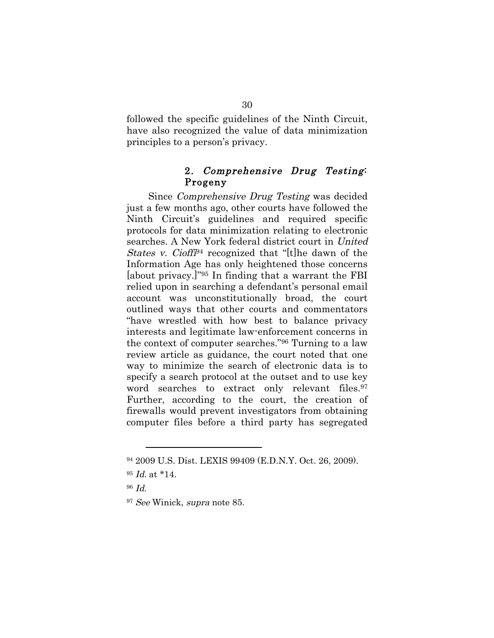followed the specific guidelines of the Ninth Circuit, have also recognized the value of data minimization principles to a person's privacy.

#### 2. Comprehensive Drug Testing: Progeny

Since Comprehensive Drug Testing was decided just a few months ago, other courts have followed the Ninth Circuit's guidelines and required specific protocols for data minimization relating to electronic searches. A New York federal district court in United States v. Cioffi94 recognized that "[t]he dawn of the Information Age has only heightened those concerns [about privacy.]"95 In finding that a warrant the FBI relied upon in searching a defendant's personal email account was unconstitutionally broad, the court outlined ways that other courts and commentators "have wrestled with how best to balance privacy interests and legitimate law-enforcement concerns in the context of computer searches."96 Turning to a law review article as guidance, the court noted that one way to minimize the search of electronic data is to specify a search protocol at the outset and to use key word searches to extract only relevant files.<sup>97</sup> Further, according to the court, the creation of firewalls would prevent investigators from obtaining computer files before a third party has segregated

<sup>94 2009</sup> U.S. Dist. LEXIS 99409 (E.D.N.Y. Oct. 26, 2009).

 $95$  *Id.* at \*14.

<sup>96</sup> Id.

<sup>97</sup> See Winick, supra note 85.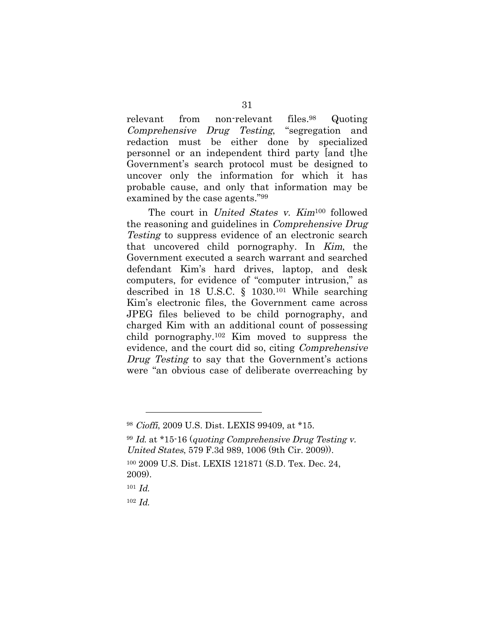relevant from non-relevant files.98 Quoting Comprehensive Drug Testing, "segregation and redaction must be either done by specialized personnel or an independent third party [and t]he Government's search protocol must be designed to uncover only the information for which it has probable cause, and only that information may be examined by the case agents."99

The court in United States v. Kim<sup>100</sup> followed the reasoning and guidelines in Comprehensive Drug Testing to suppress evidence of an electronic search that uncovered child pornography. In Kim, the Government executed a search warrant and searched defendant Kim's hard drives, laptop, and desk computers, for evidence of "computer intrusion," as described in 18 U.S.C. § 1030.101 While searching Kim's electronic files, the Government came across JPEG files believed to be child pornography, and charged Kim with an additional count of possessing child pornography.102 Kim moved to suppress the evidence, and the court did so, citing Comprehensive Drug Testing to say that the Government's actions were "an obvious case of deliberate overreaching by

<sup>98</sup> Cioffi, 2009 U.S. Dist. LEXIS 99409, at \*15.

 $99$  Id. at \*15-16 (quoting Comprehensive Drug Testing v. United States, 579 F.3d 989, 1006 (9th Cir. 2009)).

<sup>100 2009</sup> U.S. Dist. LEXIS 121871 (S.D. Tex. Dec. 24, 2009).

 $101$  *Id.* 

 $102 \text{ Id.}$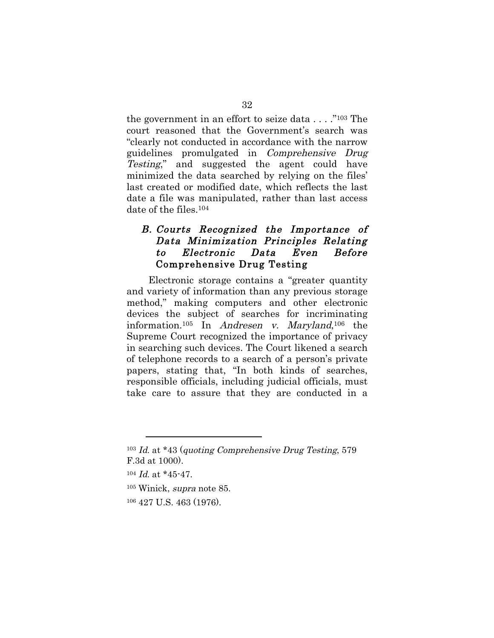the government in an effort to seize data  $\dots$ ."<sup>103</sup> The court reasoned that the Government's search was "clearly not conducted in accordance with the narrow guidelines promulgated in Comprehensive Drug Testing," and suggested the agent could have minimized the data searched by relying on the files' last created or modified date, which reflects the last date a file was manipulated, rather than last access date of the files.104

### B. Courts Recognized the Importance of Data Minimization Principles Relating to Electronic Data Even Before Comprehensive Drug Testing

Electronic storage contains a "greater quantity and variety of information than any previous storage method," making computers and other electronic devices the subject of searches for incriminating information.105 In Andresen v. Maryland,106 the Supreme Court recognized the importance of privacy in searching such devices. The Court likened a search of telephone records to a search of a person's private papers, stating that, "In both kinds of searches, responsible officials, including judicial officials, must take care to assure that they are conducted in a

<sup>103</sup> Id. at \*43 (quoting Comprehensive Drug Testing, 579 F.3d at 1000).

<sup>104</sup> *Id.* at \*45-47.

<sup>105</sup> Winick, supra note 85.

<sup>106 427</sup> U.S. 463 (1976).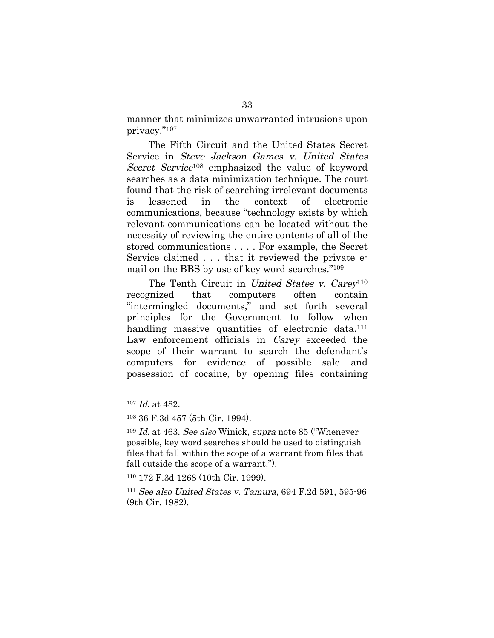manner that minimizes unwarranted intrusions upon privacy."107

The Fifth Circuit and the United States Secret Service in Steve Jackson Games v. United States Secret Service<sup>108</sup> emphasized the value of keyword searches as a data minimization technique. The court found that the risk of searching irrelevant documents is lessened in the context of electronic communications, because "technology exists by which relevant communications can be located without the necessity of reviewing the entire contents of all of the stored communications . . . . For example, the Secret Service claimed . . . that it reviewed the private email on the BBS by use of key word searches."109

The Tenth Circuit in United States v. Carey<sup>110</sup> recognized that computers often contain "intermingled documents," and set forth several principles for the Government to follow when handling massive quantities of electronic data.<sup>111</sup> Law enforcement officials in *Carey* exceeded the scope of their warrant to search the defendant's computers for evidence of possible sale and possession of cocaine, by opening files containing

 $\overline{a}$ 

110 172 F.3d 1268 (10th Cir. 1999).

<sup>111</sup> See also United States v. Tamura, 694 F.2d 591, 595-96 (9th Cir. 1982).

<sup>107</sup> Id. at 482.

<sup>108 36</sup> F.3d 457 (5th Cir. 1994).

<sup>109</sup> Id. at 463. See also Winick, supra note 85 ("Whenever possible, key word searches should be used to distinguish files that fall within the scope of a warrant from files that fall outside the scope of a warrant.").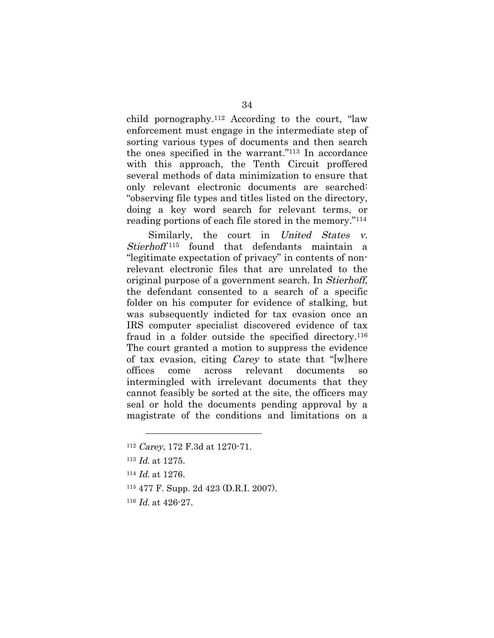child pornography.112 According to the court, "law enforcement must engage in the intermediate step of sorting various types of documents and then search the ones specified in the warrant."113 In accordance with this approach, the Tenth Circuit proffered several methods of data minimization to ensure that only relevant electronic documents are searched: "observing file types and titles listed on the directory, doing a key word search for relevant terms, or reading portions of each file stored in the memory."114

Similarly, the court in United States v.  $Stierhoff<sup>115</sup>$  found that defendants maintain a "legitimate expectation of privacy" in contents of nonrelevant electronic files that are unrelated to the original purpose of a government search. In Stierhoff, the defendant consented to a search of a specific folder on his computer for evidence of stalking, but was subsequently indicted for tax evasion once an IRS computer specialist discovered evidence of tax fraud in a folder outside the specified directory.116 The court granted a motion to suppress the evidence of tax evasion, citing *Carey* to state that "[w] here offices come across relevant documents so intermingled with irrelevant documents that they cannot feasibly be sorted at the site, the officers may seal or hold the documents pending approval by a magistrate of the conditions and limitations on a

- <sup>112</sup> Carey, 172 F.3d at 1270-71.
- <sup>113</sup> Id. at 1275.

- <sup>114</sup> Id. at 1276.
- 115 477 F. Supp. 2d 423 (D.R.I. 2007).
- <sup>116</sup> Id. at 426-27.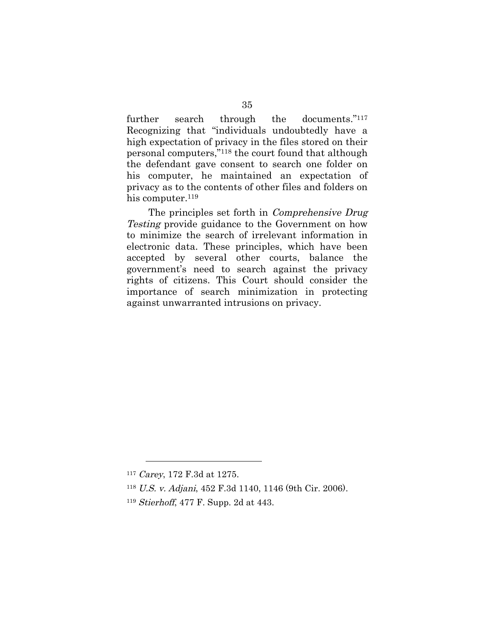further search through the documents."117 Recognizing that "individuals undoubtedly have a high expectation of privacy in the files stored on their personal computers,"118 the court found that although the defendant gave consent to search one folder on his computer, he maintained an expectation of privacy as to the contents of other files and folders on his computer.<sup>119</sup>

The principles set forth in *Comprehensive Drug* Testing provide guidance to the Government on how to minimize the search of irrelevant information in electronic data. These principles, which have been accepted by several other courts, balance the government's need to search against the privacy rights of citizens. This Court should consider the importance of search minimization in protecting against unwarranted intrusions on privacy.

<sup>117</sup> Carey, 172 F.3d at 1275.

<sup>118</sup> U.S. v. Adjani, 452 F.3d 1140, 1146 (9th Cir. 2006).

<sup>119</sup> Stierhoff, 477 F. Supp. 2d at 443.